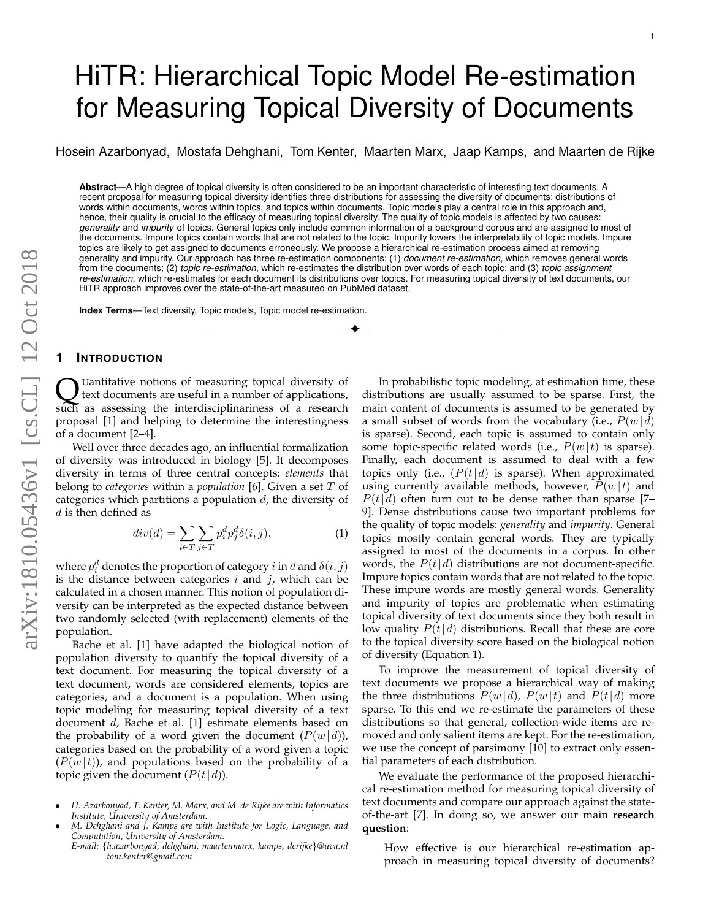# <span id="page-0-1"></span>HiTR: Hierarchical Topic Model Re-estimation for Measuring Topical Diversity of Documents

Hosein Azarbonyad, Mostafa Dehghani, Tom Kenter, Maarten Marx, Jaap Kamps, and Maarten de Rijke

**Abstract**—A high degree of topical diversity is often considered to be an important characteristic of interesting text documents. A recent proposal for measuring topical diversity identifies three distributions for assessing the diversity of documents: distributions of words within documents, words within topics, and topics within documents. Topic models play a central role in this approach and, hence, their quality is crucial to the efficacy of measuring topical diversity. The quality of topic models is affected by two causes: *generality* and *impurity* of topics. General topics only include common information of a background corpus and are assigned to most of the documents. Impure topics contain words that are not related to the topic. Impurity lowers the interpretability of topic models. Impure topics are likely to get assigned to documents erroneously. We propose a hierarchical re-estimation process aimed at removing generality and impurity. Our approach has three re-estimation components: (1) *document re-estimation*, which removes general words from the documents; (2) *topic re-estimation*, which re-estimates the distribution over words of each topic; and (3) *topic assignment re-estimation*, which re-estimates for each document its distributions over topics. For measuring topical diversity of text documents, our HiTR approach improves over the state-of-the-art measured on PubMed dataset.

✦

**Index Terms**—Text diversity, Topic models, Topic model re-estimation.

# **1 INTRODUCTION**

**Q** Uantitative notions of measuring topical diversity of text documents are useful in a number of applications, such as assessing the interdisciplinariness of a research Uantitative notions of measuring topical diversity of text documents are useful in a number of applications, proposal [\[1\]](#page-12-0) and helping to determine the interestingness of a document [\[2](#page-12-1)[–4\]](#page-12-2).

Well over three decades ago, an influential formalization of diversity was introduced in biology [\[5\]](#page-12-3). It decomposes diversity in terms of three central concepts: *elements* that belong to *categories* within a *population* [\[6\]](#page-12-4). Given a set T of categories which partitions a population  $d$ , the diversity of  $d$  is then defined as

<span id="page-0-0"></span>
$$
div(d) = \sum_{i \in T} \sum_{j \in T} p_i^d p_j^d \delta(i, j), \qquad (1)
$$

where  $p_i^d$  denotes the proportion of category  $i$  in  $d$  and  $\delta(i,j)$ is the distance between categories  $i$  and  $j$ , which can be calculated in a chosen manner. This notion of population diversity can be interpreted as the expected distance between two randomly selected (with replacement) elements of the population.

Bache et al. [\[1\]](#page-12-0) have adapted the biological notion of population diversity to quantify the topical diversity of a text document. For measuring the topical diversity of a text document, words are considered elements, topics are categories, and a document is a population. When using topic modeling for measuring topical diversity of a text document d, Bache et al. [\[1\]](#page-12-0) estimate elements based on the probability of a word given the document  $(P(w|d))$ , categories based on the probability of a word given a topic  $(P(w|t))$ , and populations based on the probability of a topic given the document  $(P(t|d))$ .

In probabilistic topic modeling, at estimation time, these distributions are usually assumed to be sparse. First, the main content of documents is assumed to be generated by a small subset of words from the vocabulary (i.e.,  $P(w|d)$ is sparse). Second, each topic is assumed to contain only some topic-specific related words (i.e.,  $P(w|t)$  is sparse). Finally, each document is assumed to deal with a few topics only (i.e.,  $(P(t|d)$  is sparse). When approximated using currently available methods, however,  $P(w|t)$  and  $P(t|d)$  often turn out to be dense rather than sparse [\[7–](#page-12-5) [9\]](#page-12-6). Dense distributions cause two important problems for the quality of topic models: *generality* and *impurity*. General topics mostly contain general words. They are typically assigned to most of the documents in a corpus. In other words, the  $P(t|d)$  distributions are not document-specific. Impure topics contain words that are not related to the topic. These impure words are mostly general words. Generality and impurity of topics are problematic when estimating topical diversity of text documents since they both result in low quality  $P(t|d)$  distributions. Recall that these are core to the topical diversity score based on the biological notion of diversity (Equation [1\)](#page-0-0).

To improve the measurement of topical diversity of text documents we propose a hierarchical way of making the three distributions  $P(w|d)$ ,  $P(w|t)$  and  $P(t|d)$  more sparse. To this end we re-estimate the parameters of these distributions so that general, collection-wide items are removed and only salient items are kept. For the re-estimation, we use the concept of parsimony [\[10\]](#page-12-7) to extract only essential parameters of each distribution.

We evaluate the performance of the proposed hierarchical re-estimation method for measuring topical diversity of text documents and compare our approach against the stateof-the-art [\[7\]](#page-12-5). In doing so, we answer our main **research question**:

How effective is our hierarchical re-estimation approach in measuring topical diversity of documents?

<sup>•</sup> *H. Azarbonyad, T. Kenter, M. Marx, and M. de Rijke are with Informatics Institute, University of Amsterdam.*

<sup>•</sup> *M. Dehghani and J. Kamps are with Institute for Logic, Language, and Computation, University of Amsterdam.*

*E-mail:* {*h.azarbonyad, dehghani, maartenmarx, kamps, derijke*}*@uva.nl tom.kenter@gmail.com*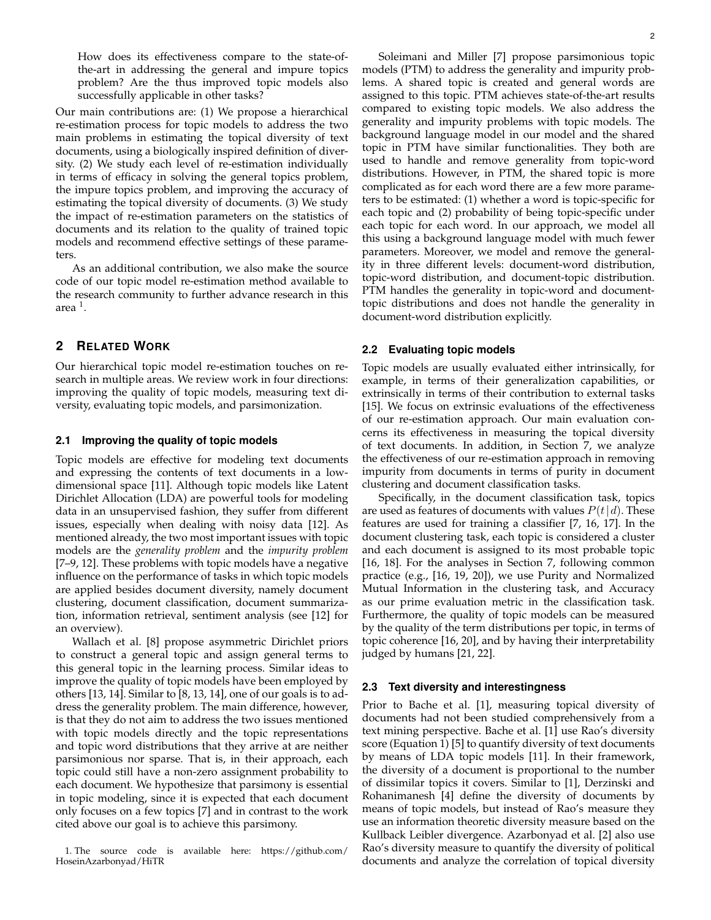How does its effectiveness compare to the state-ofthe-art in addressing the general and impure topics problem? Are the thus improved topic models also successfully applicable in other tasks?

Our main contributions are: (1) We propose a hierarchical re-estimation process for topic models to address the two main problems in estimating the topical diversity of text documents, using a biologically inspired definition of diversity. (2) We study each level of re-estimation individually in terms of efficacy in solving the general topics problem, the impure topics problem, and improving the accuracy of estimating the topical diversity of documents. (3) We study the impact of re-estimation parameters on the statistics of documents and its relation to the quality of trained topic models and recommend effective settings of these parameters.

As an additional contribution, we also make the source code of our topic model re-estimation method available to the research community to further advance research in this area  $^1$  $^1$ .

# **2 RELATED WORK**

Our hierarchical topic model re-estimation touches on research in multiple areas. We review work in four directions: improving the quality of topic models, measuring text diversity, evaluating topic models, and parsimonization.

# **2.1 Improving the quality of topic models**

Topic models are effective for modeling text documents and expressing the contents of text documents in a lowdimensional space [\[11\]](#page-12-8). Although topic models like Latent Dirichlet Allocation (LDA) are powerful tools for modeling data in an unsupervised fashion, they suffer from different issues, especially when dealing with noisy data [\[12\]](#page-12-9). As mentioned already, the two most important issues with topic models are the *generality problem* and the *impurity problem* [\[7–](#page-12-5)[9,](#page-12-6) [12\]](#page-12-9). These problems with topic models have a negative influence on the performance of tasks in which topic models are applied besides document diversity, namely document clustering, document classification, document summarization, information retrieval, sentiment analysis (see [\[12\]](#page-12-9) for an overview).

Wallach et al. [\[8\]](#page-12-10) propose asymmetric Dirichlet priors to construct a general topic and assign general terms to this general topic in the learning process. Similar ideas to improve the quality of topic models have been employed by others [\[13,](#page-12-11) [14\]](#page-12-12). Similar to [\[8,](#page-12-10) [13,](#page-12-11) [14\]](#page-12-12), one of our goals is to address the generality problem. The main difference, however, is that they do not aim to address the two issues mentioned with topic models directly and the topic representations and topic word distributions that they arrive at are neither parsimonious nor sparse. That is, in their approach, each topic could still have a non-zero assignment probability to each document. We hypothesize that parsimony is essential in topic modeling, since it is expected that each document only focuses on a few topics [\[7\]](#page-12-5) and in contrast to the work cited above our goal is to achieve this parsimony.

Soleimani and Miller [\[7\]](#page-12-5) propose parsimonious topic models (PTM) to address the generality and impurity problems. A shared topic is created and general words are assigned to this topic. PTM achieves state-of-the-art results compared to existing topic models. We also address the generality and impurity problems with topic models. The background language model in our model and the shared topic in PTM have similar functionalities. They both are used to handle and remove generality from topic-word distributions. However, in PTM, the shared topic is more complicated as for each word there are a few more parameters to be estimated: (1) whether a word is topic-specific for each topic and (2) probability of being topic-specific under each topic for each word. In our approach, we model all this using a background language model with much fewer parameters. Moreover, we model and remove the generality in three different levels: document-word distribution, topic-word distribution, and document-topic distribution. PTM handles the generality in topic-word and documenttopic distributions and does not handle the generality in document-word distribution explicitly.

## **2.2 Evaluating topic models**

Topic models are usually evaluated either intrinsically, for example, in terms of their generalization capabilities, or extrinsically in terms of their contribution to external tasks [\[15\]](#page-12-13). We focus on extrinsic evaluations of the effectiveness of our re-estimation approach. Our main evaluation concerns its effectiveness in measuring the topical diversity of text documents. In addition, in Section [7,](#page-10-0) we analyze the effectiveness of our re-estimation approach in removing impurity from documents in terms of purity in document clustering and document classification tasks.

Specifically, in the document classification task, topics are used as features of documents with values  $P(t|d)$ . These features are used for training a classifier [\[7,](#page-12-5) [16,](#page-12-14) [17\]](#page-12-15). In the document clustering task, each topic is considered a cluster and each document is assigned to its most probable topic [\[16,](#page-12-14) [18\]](#page-12-16). For the analyses in Section [7,](#page-10-0) following common practice (e.g., [\[16,](#page-12-14) [19,](#page-12-17) [20\]](#page-12-18)), we use Purity and Normalized Mutual Information in the clustering task, and Accuracy as our prime evaluation metric in the classification task. Furthermore, the quality of topic models can be measured by the quality of the term distributions per topic, in terms of topic coherence [\[16,](#page-12-14) [20\]](#page-12-18), and by having their interpretability judged by humans [\[21,](#page-12-19) [22\]](#page-12-20).

#### **2.3 Text diversity and interestingness**

Prior to Bache et al. [\[1\]](#page-12-0), measuring topical diversity of documents had not been studied comprehensively from a text mining perspective. Bache et al. [\[1\]](#page-12-0) use Rao's diversity score (Equation [1\)](#page-0-0) [\[5\]](#page-12-3) to quantify diversity of text documents by means of LDA topic models [\[11\]](#page-12-8). In their framework, the diversity of a document is proportional to the number of dissimilar topics it covers. Similar to [\[1\]](#page-12-0), Derzinski and Rohanimanesh [\[4\]](#page-12-2) define the diversity of documents by means of topic models, but instead of Rao's measure they use an information theoretic diversity measure based on the Kullback Leibler divergence. Azarbonyad et al. [\[2\]](#page-12-1) also use Rao's diversity measure to quantify the diversity of political documents and analyze the correlation of topical diversity

<sup>1.</sup> The source code is available here: [https://github.com/](https://github.com/HoseinAzarbonyad/HiTR) [HoseinAzarbonyad/HiTR](https://github.com/HoseinAzarbonyad/HiTR)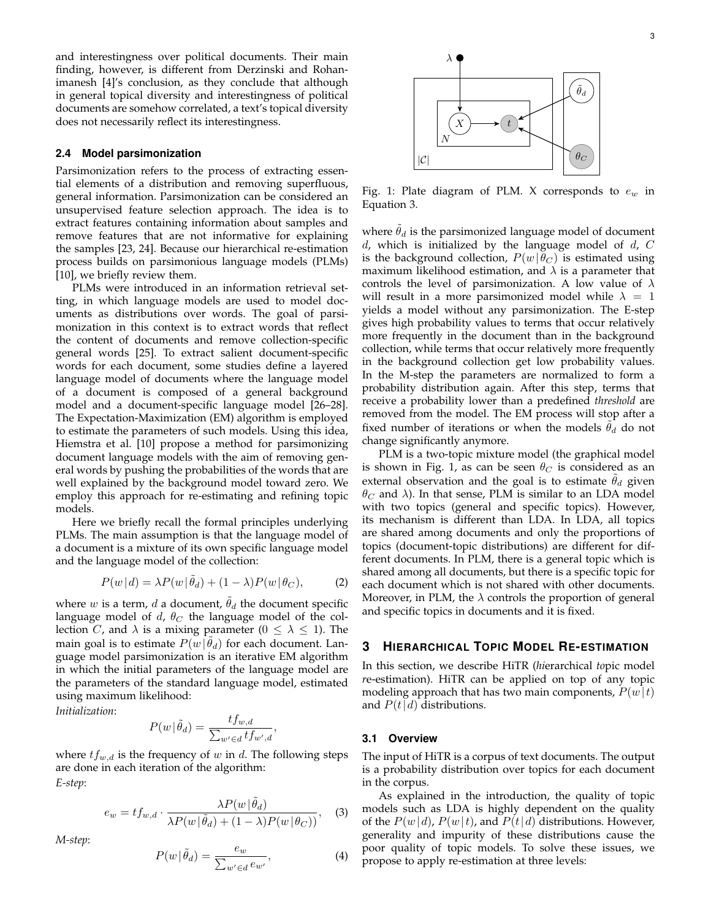and interestingness over political documents. Their main finding, however, is different from Derzinski and Rohanimanesh [\[4\]](#page-12-2)'s conclusion, as they conclude that although in general topical diversity and interestingness of political documents are somehow correlated, a text's topical diversity does not necessarily reflect its interestingness.

# <span id="page-2-2"></span>**2.4 Model parsimonization**

Parsimonization refers to the process of extracting essential elements of a distribution and removing superfluous, general information. Parsimonization can be considered an unsupervised feature selection approach. The idea is to extract features containing information about samples and remove features that are not informative for explaining the samples [\[23,](#page-13-0) [24\]](#page-13-1). Because our hierarchical re-estimation process builds on parsimonious language models (PLMs) [\[10\]](#page-12-7), we briefly review them.

PLMs were introduced in an information retrieval setting, in which language models are used to model documents as distributions over words. The goal of parsimonization in this context is to extract words that reflect the content of documents and remove collection-specific general words [\[25\]](#page-13-2). To extract salient document-specific words for each document, some studies define a layered language model of documents where the language model of a document is composed of a general background model and a document-specific language model [\[26](#page-13-3)[–28\]](#page-13-4). The Expectation-Maximization (EM) algorithm is employed to estimate the parameters of such models. Using this idea, Hiemstra et al. [\[10\]](#page-12-7) propose a method for parsimonizing document language models with the aim of removing general words by pushing the probabilities of the words that are well explained by the background model toward zero. We employ this approach for re-estimating and refining topic models.

Here we briefly recall the formal principles underlying PLMs. The main assumption is that the language model of a document is a mixture of its own specific language model and the language model of the collection:

$$
P(w | d) = \lambda P(w | \tilde{\theta}_d) + (1 - \lambda) P(w | \theta_C), \tag{2}
$$

where  $w$  is a term,  $d$  a document,  $\theta_d$  the document specific language model of  $d$ ,  $\theta_C$  the language model of the collection *C*, and  $\lambda$  is a mixing parameter ( $0 \leq \lambda \leq 1$ ). The main goal is to estimate  $P(w|\tilde{\theta}_d)$  for each document. Language model parsimonization is an iterative EM algorithm in which the initial parameters of the language model are the parameters of the standard language model, estimated using maximum likelihood:

*Initialization*:

$$
P(w | \tilde{\theta}_d) = \frac{tf_{w,d}}{\sum_{w' \in d} tf_{w',d}},
$$

where  $tf_{w,d}$  is the frequency of w in d. The following steps are done in each iteration of the algorithm: *E-step*:

<span id="page-2-0"></span>
$$
e_w = tf_{w,d} \cdot \frac{\lambda P(w|\tilde{\theta}_d)}{\lambda P(w|\tilde{\theta}_d) + (1-\lambda)P(w|\theta_C))},
$$
 (3)

*M-step*:

<span id="page-2-3"></span>
$$
P(w | \tilde{\theta}_d) = \frac{e_w}{\sum_{w' \in d} e_{w'}},\tag{4}
$$

<span id="page-2-1"></span>

Fig. 1: Plate diagram of PLM. X corresponds to  $e_w$  in Equation [3.](#page-2-0)

where  $\theta_d$  is the parsimonized language model of document d, which is initialized by the language model of  $d$ ,  $C$ is the background collection,  $P(w|\theta_C)$  is estimated using maximum likelihood estimation, and  $\lambda$  is a parameter that controls the level of parsimonization. A low value of  $\lambda$ will result in a more parsimonized model while  $\lambda = 1$ yields a model without any parsimonization. The E-step gives high probability values to terms that occur relatively more frequently in the document than in the background collection, while terms that occur relatively more frequently in the background collection get low probability values. In the M-step the parameters are normalized to form a probability distribution again. After this step, terms that receive a probability lower than a predefined *threshold* are removed from the model. The EM process will stop after a fixed number of iterations or when the models  $\theta_d$  do not change significantly anymore.

PLM is a two-topic mixture model (the graphical model is shown in Fig. [1,](#page-2-1) as can be seen  $\theta_C$  is considered as an external observation and the goal is to estimate  $\theta_d$  given  $\theta_C$  and  $\lambda$ ). In that sense, PLM is similar to an LDA model with two topics (general and specific topics). However, its mechanism is different than LDA. In LDA, all topics are shared among documents and only the proportions of topics (document-topic distributions) are different for different documents. In PLM, there is a general topic which is shared among all documents, but there is a specific topic for each document which is not shared with other documents. Moreover, in PLM, the  $\lambda$  controls the proportion of general and specific topics in documents and it is fixed.

# **3 HIERARCHICAL TOPIC MODEL RE-ESTIMATION**

In this section, we describe HiTR (*hi*erarchical *to*pic model *r*e-estimation). HiTR can be applied on top of any topic modeling approach that has two main components,  $P(w|t)$ and  $P(t|d)$  distributions.

#### **3.1 Overview**

The input of HiTR is a corpus of text documents. The output is a probability distribution over topics for each document in the corpus.

As explained in the introduction, the quality of topic models such as LDA is highly dependent on the quality of the  $P(w|d)$ ,  $P(w|t)$ , and  $P(t|d)$  distributions. However, generality and impurity of these distributions cause the poor quality of topic models. To solve these issues, we propose to apply re-estimation at three levels: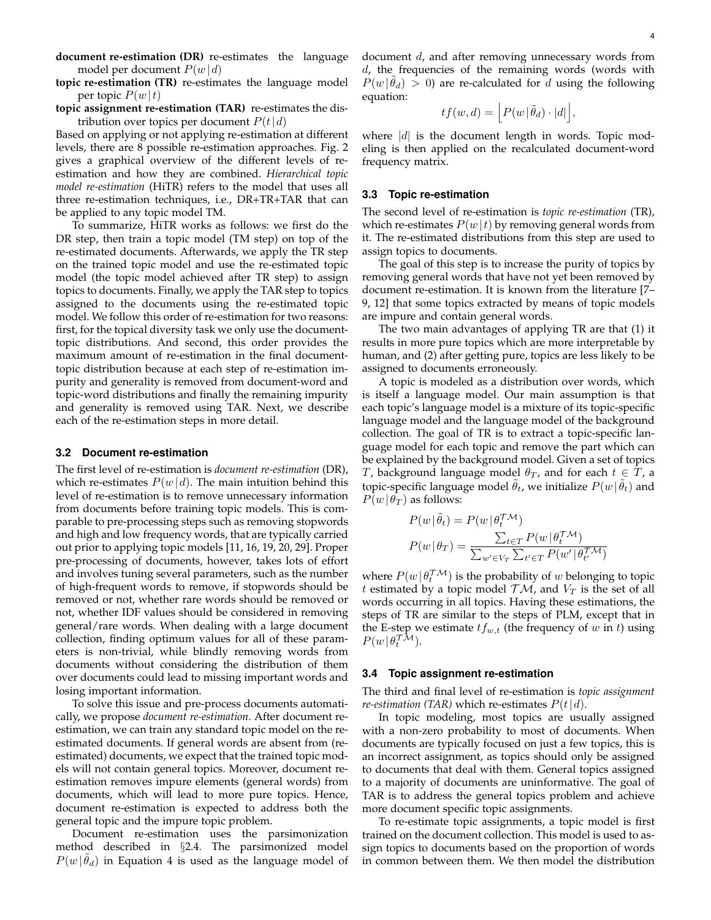**document re-estimation (DR)** re-estimates the language model per document  $P(w|d)$ 

**topic re-estimation (TR)** re-estimates the language model per topic  $P(w|t)$ 

**topic assignment re-estimation (TAR)** re-estimates the distribution over topics per document  $P(t|d)$ 

Based on applying or not applying re-estimation at different levels, there are 8 possible re-estimation approaches. Fig. [2](#page-4-0) gives a graphical overview of the different levels of reestimation and how they are combined. *Hierarchical topic model re-estimation* (HiTR) refers to the model that uses all three re-estimation techniques, i.e., DR+TR+TAR that can be applied to any topic model TM.

To summarize, HiTR works as follows: we first do the DR step, then train a topic model (TM step) on top of the re-estimated documents. Afterwards, we apply the TR step on the trained topic model and use the re-estimated topic model (the topic model achieved after TR step) to assign topics to documents. Finally, we apply the TAR step to topics assigned to the documents using the re-estimated topic model. We follow this order of re-estimation for two reasons: first, for the topical diversity task we only use the documenttopic distributions. And second, this order provides the maximum amount of re-estimation in the final documenttopic distribution because at each step of re-estimation impurity and generality is removed from document-word and topic-word distributions and finally the remaining impurity and generality is removed using TAR. Next, we describe each of the re-estimation steps in more detail.

#### **3.2 Document re-estimation**

The first level of re-estimation is *document re-estimation* (DR), which re-estimates  $P(w|d)$ . The main intuition behind this level of re-estimation is to remove unnecessary information from documents before training topic models. This is comparable to pre-processing steps such as removing stopwords and high and low frequency words, that are typically carried out prior to applying topic models [\[11,](#page-12-8) [16,](#page-12-14) [19,](#page-12-17) [20,](#page-12-18) [29\]](#page-13-5). Proper pre-processing of documents, however, takes lots of effort and involves tuning several parameters, such as the number of high-frequent words to remove, if stopwords should be removed or not, whether rare words should be removed or not, whether IDF values should be considered in removing general/rare words. When dealing with a large document collection, finding optimum values for all of these parameters is non-trivial, while blindly removing words from documents without considering the distribution of them over documents could lead to missing important words and losing important information.

To solve this issue and pre-process documents automatically, we propose *document re-estimation*. After document reestimation, we can train any standard topic model on the reestimated documents. If general words are absent from (reestimated) documents, we expect that the trained topic models will not contain general topics. Moreover, document reestimation removes impure elements (general words) from documents, which will lead to more pure topics. Hence, document re-estimation is expected to address both the general topic and the impure topic problem.

Document re-estimation uses the parsimonization method described in §[2.4.](#page-2-2) The parsimonized model  $P(w|\tilde{\theta}_d)$  in Equation [4](#page-2-3) is used as the language model of document d, and after removing unnecessary words from  $d$ , the frequencies of the remaining words (words with  $P(w|\tilde{\theta}_d) > 0$ ) are re-calculated for d using the following equation:

$$
tf(w,d) = |P(w|\tilde{\theta}_d) \cdot |d| \Big|,
$$

where  $|d|$  is the document length in words. Topic modeling is then applied on the recalculated document-word frequency matrix.

#### **3.3 Topic re-estimation**

The second level of re-estimation is *topic re-estimation* (TR), which re-estimates  $P(w|t)$  by removing general words from it. The re-estimated distributions from this step are used to assign topics to documents.

The goal of this step is to increase the purity of topics by removing general words that have not yet been removed by document re-estimation. It is known from the literature [\[7–](#page-12-5) [9,](#page-12-6) [12\]](#page-12-9) that some topics extracted by means of topic models are impure and contain general words.

The two main advantages of applying TR are that (1) it results in more pure topics which are more interpretable by human, and (2) after getting pure, topics are less likely to be assigned to documents erroneously.

A topic is modeled as a distribution over words, which is itself a language model. Our main assumption is that each topic's language model is a mixture of its topic-specific language model and the language model of the background collection. The goal of TR is to extract a topic-specific language model for each topic and remove the part which can be explained by the background model. Given a set of topics T, background language model  $\theta_T$ , and for each  $t \in T$ , a topic-specific language model  $\tilde{\theta}_t$ , we initialize  $P(w|\tilde{\theta}_t)$  and  $P(w|\theta_T)$  as follows:

$$
P(w | \tilde{\theta}_t) = P(w | \theta_t^{\mathcal{T} \mathcal{M}})
$$

$$
P(w | \theta_T) = \frac{\sum_{t \in T} P(w | \theta_t^{\mathcal{T} \mathcal{M}})}{\sum_{w' \in V_T} \sum_{t' \in T} P(w' | \theta_{t'}^{\mathcal{T} \mathcal{M}})}
$$

where  $P(w | \theta_t^{\mathcal{T} \mathcal{M}})$  is the probability of  $w$  belonging to topic t estimated by a topic model  $TM$ , and  $V_T$  is the set of all words occurring in all topics. Having these estimations, the steps of TR are similar to the steps of PLM, except that in the E-step we estimate  $tf_{w,t}$  (the frequency of w in t) using  $P(w | \theta_t^{\mathcal{TM}}).$ 

#### **3.4 Topic assignment re-estimation**

The third and final level of re-estimation is *topic assignment re-estimation (TAR)* which re-estimates  $P(t|d)$ .

In topic modeling, most topics are usually assigned with a non-zero probability to most of documents. When documents are typically focused on just a few topics, this is an incorrect assignment, as topics should only be assigned to documents that deal with them. General topics assigned to a majority of documents are uninformative. The goal of TAR is to address the general topics problem and achieve more document specific topic assignments.

To re-estimate topic assignments, a topic model is first trained on the document collection. This model is used to assign topics to documents based on the proportion of words in common between them. We then model the distribution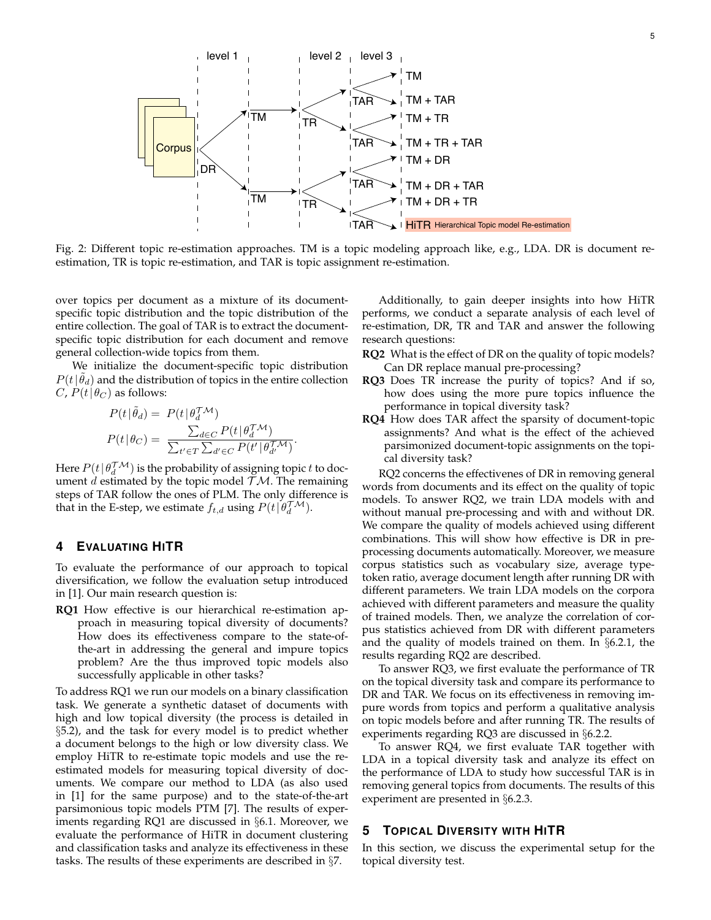<span id="page-4-0"></span>

Fig. 2: Different topic re-estimation approaches. TM is a topic modeling approach like, e.g., LDA. DR is document reestimation, TR is topic re-estimation, and TAR is topic assignment re-estimation.

.

over topics per document as a mixture of its documentspecific topic distribution and the topic distribution of the entire collection. The goal of TAR is to extract the documentspecific topic distribution for each document and remove general collection-wide topics from them.

We initialize the document-specific topic distribution  $P(t|\tilde{\theta}_d)$  and the distribution of topics in the entire collection C,  $P(t|\theta_C)$  as follows:

$$
P(t|\tilde{\theta}_d) = P(t|\theta_d^{\mathcal{T}M})
$$

$$
P(t|\theta_C) = \frac{\sum_{d \in C} P(t|\theta_d^{\mathcal{T}M})}{\sum_{t' \in T} \sum_{d' \in C} P(t'|\theta_{d'}^{\mathcal{T}M})}
$$

Here  $P(t|\theta_d^{\mathcal{T}\mathcal{M}})$  is the probability of assigning topic  $t$  to document  $d$  estimated by the topic model  $TM$ . The remaining steps of TAR follow the ones of PLM. The only difference is that in the E-step, we estimate  $f_{t,d}$  using  $P(t|\theta_d^{\mathcal{T} \mathcal{M}})$ .

## **4 EVALUATING HITR**

To evaluate the performance of our approach to topical diversification, we follow the evaluation setup introduced in [\[1\]](#page-12-0). Our main research question is:

**RQ1** How effective is our hierarchical re-estimation approach in measuring topical diversity of documents? How does its effectiveness compare to the state-ofthe-art in addressing the general and impure topics problem? Are the thus improved topic models also successfully applicable in other tasks?

To address RQ1 we run our models on a binary classification task. We generate a synthetic dataset of documents with high and low topical diversity (the process is detailed in §[5.2\)](#page-5-0), and the task for every model is to predict whether a document belongs to the high or low diversity class. We employ HiTR to re-estimate topic models and use the reestimated models for measuring topical diversity of documents. We compare our method to LDA (as also used in [\[1\]](#page-12-0) for the same purpose) and to the state-of-the-art parsimonious topic models PTM [\[7\]](#page-12-5). The results of experiments regarding RQ1 are discussed in §[6.1.](#page-6-0) Moreover, we evaluate the performance of HiTR in document clustering and classification tasks and analyze its effectiveness in these tasks. The results of these experiments are described in §[7.](#page-10-0)

Additionally, to gain deeper insights into how HiTR performs, we conduct a separate analysis of each level of re-estimation, DR, TR and TAR and answer the following research questions:

- **RQ2** What is the effect of DR on the quality of topic models? Can DR replace manual pre-processing?
- **RQ3** Does TR increase the purity of topics? And if so, how does using the more pure topics influence the performance in topical diversity task?
- **RQ4** How does TAR affect the sparsity of document-topic assignments? And what is the effect of the achieved parsimonized document-topic assignments on the topical diversity task?

RQ2 concerns the effectivenes of DR in removing general words from documents and its effect on the quality of topic models. To answer RQ2, we train LDA models with and without manual pre-processing and with and without DR. We compare the quality of models achieved using different combinations. This will show how effective is DR in preprocessing documents automatically. Moreover, we measure corpus statistics such as vocabulary size, average typetoken ratio, average document length after running DR with different parameters. We train LDA models on the corpora achieved with different parameters and measure the quality of trained models. Then, we analyze the correlation of corpus statistics achieved from DR with different parameters and the quality of models trained on them. In §[6.2.1,](#page-7-0) the results regarding RQ2 are described.

To answer RQ3, we first evaluate the performance of TR on the topical diversity task and compare its performance to DR and TAR. We focus on its effectiveness in removing impure words from topics and perform a qualitative analysis on topic models before and after running TR. The results of experiments regarding RQ3 are discussed in §[6.2.2.](#page-7-1)

To answer RQ4, we first evaluate TAR together with LDA in a topical diversity task and analyze its effect on the performance of LDA to study how successful TAR is in removing general topics from documents. The results of this experiment are presented in §[6.2.3.](#page-8-0)

# **5 TOPICAL DIVERSITY WITH HITR**

In this section, we discuss the experimental setup for the topical diversity test.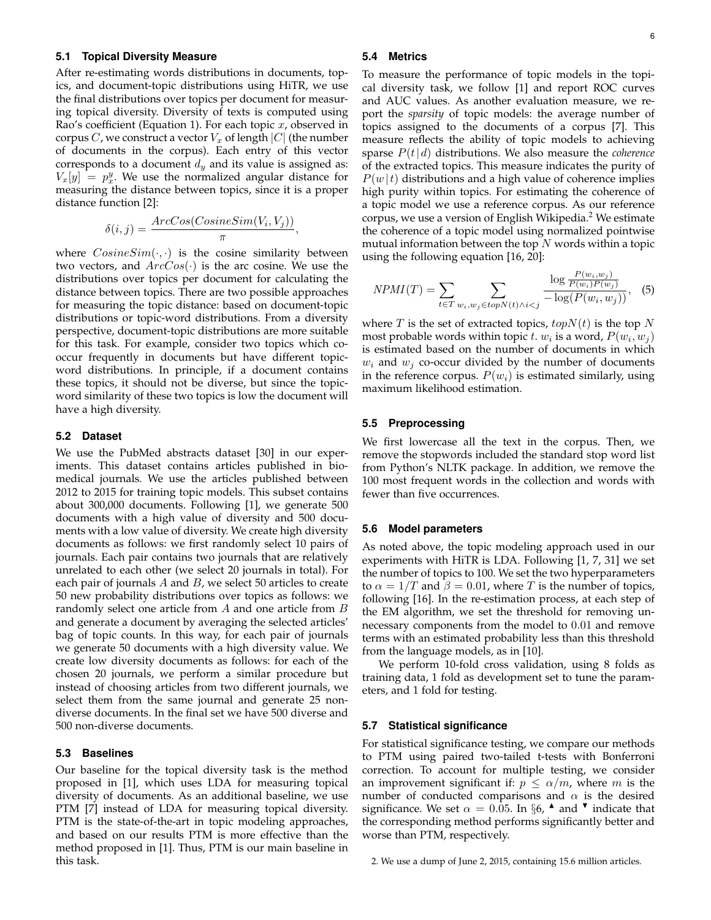## **5.1 Topical Diversity Measure**

After re-estimating words distributions in documents, topics, and document-topic distributions using HiTR, we use the final distributions over topics per document for measuring topical diversity. Diversity of texts is computed using Rao's coefficient (Equation [1\)](#page-0-0). For each topic  $x$ , observed in corpus C, we construct a vector  $V_x$  of length  $|C|$  (the number of documents in the corpus). Each entry of this vector corresponds to a document  $d<sub>y</sub>$  and its value is assigned as:  $V_x[y] = p_x^y$ . We use the normalized angular distance for measuring the distance between topics, since it is a proper distance function [\[2\]](#page-12-1):

$$
\delta(i,j) = \frac{ArcCos(CosineSim(V_i, V_j))}{\pi},
$$

where  $CosineSim(\cdot, \cdot)$  is the cosine similarity between two vectors, and  $ArcCos(\cdot)$  is the arc cosine. We use the distributions over topics per document for calculating the distance between topics. There are two possible approaches for measuring the topic distance: based on document-topic distributions or topic-word distributions. From a diversity perspective, document-topic distributions are more suitable for this task. For example, consider two topics which cooccur frequently in documents but have different topicword distributions. In principle, if a document contains these topics, it should not be diverse, but since the topicword similarity of these two topics is low the document will have a high diversity.

## <span id="page-5-0"></span>**5.2 Dataset**

We use the PubMed abstracts dataset [\[30\]](#page-13-6) in our experiments. This dataset contains articles published in biomedical journals. We use the articles published between 2012 to 2015 for training topic models. This subset contains about 300,000 documents. Following [\[1\]](#page-12-0), we generate 500 documents with a high value of diversity and 500 documents with a low value of diversity. We create high diversity documents as follows: we first randomly select 10 pairs of journals. Each pair contains two journals that are relatively unrelated to each other (we select 20 journals in total). For each pair of journals  $A$  and  $B$ , we select 50 articles to create 50 new probability distributions over topics as follows: we randomly select one article from A and one article from B and generate a document by averaging the selected articles' bag of topic counts. In this way, for each pair of journals we generate 50 documents with a high diversity value. We create low diversity documents as follows: for each of the chosen 20 journals, we perform a similar procedure but instead of choosing articles from two different journals, we select them from the same journal and generate 25 nondiverse documents. In the final set we have 500 diverse and 500 non-diverse documents.

#### **5.3 Baselines**

Our baseline for the topical diversity task is the method proposed in [\[1\]](#page-12-0), which uses LDA for measuring topical diversity of documents. As an additional baseline, we use PTM [\[7\]](#page-12-5) instead of LDA for measuring topical diversity. PTM is the state-of-the-art in topic modeling approaches, and based on our results PTM is more effective than the method proposed in [\[1\]](#page-12-0). Thus, PTM is our main baseline in this task.

## **5.4 Metrics**

To measure the performance of topic models in the topical diversity task, we follow [\[1\]](#page-12-0) and report ROC curves and AUC values. As another evaluation measure, we report the *sparsity* of topic models: the average number of topics assigned to the documents of a corpus [\[7\]](#page-12-5). This measure reflects the ability of topic models to achieving sparse P(t|d) distributions. We also measure the *coherence* of the extracted topics. This measure indicates the purity of  $P(w|t)$  distributions and a high value of coherence implies high purity within topics. For estimating the coherence of a topic model we use a reference corpus. As our reference corpus, we use a version of English Wikipedia.<sup>[2](#page-0-1)</sup> We estimate the coherence of a topic model using normalized pointwise mutual information between the top  $N$  words within a topic using the following equation [\[16,](#page-12-14) [20\]](#page-12-18):

<span id="page-5-1"></span>
$$
NPMI(T) = \sum_{t \in T} \sum_{w_i, w_j \in topN(t) \land i < j} \frac{\log \frac{P(w_i, w_j)}{P(w_i)P(w_j)}}{-\log(P(w_i, w_j))}, \quad (5)
$$

where T is the set of extracted topics,  $topN(t)$  is the top N most probable words within topic t.  $w_i$  is a word,  $P(w_i, w_j)$ is estimated based on the number of documents in which  $w_i$  and  $w_j$  co-occur divided by the number of documents in the reference corpus.  $P(w_i)$  is estimated similarly, using maximum likelihood estimation.

# <span id="page-5-2"></span>**5.5 Preprocessing**

We first lowercase all the text in the corpus. Then, we remove the stopwords included the standard stop word list from Python's NLTK package. In addition, we remove the 100 most frequent words in the collection and words with fewer than five occurrences.

## **5.6 Model parameters**

As noted above, the topic modeling approach used in our experiments with HiTR is LDA. Following [\[1,](#page-12-0) [7,](#page-12-5) [31\]](#page-13-7) we set the number of topics to 100. We set the two hyperparameters to  $\alpha = 1/T$  and  $\beta = 0.01$ , where T is the number of topics, following [\[16\]](#page-12-14). In the re-estimation process, at each step of the EM algorithm, we set the threshold for removing unnecessary components from the model to 0.01 and remove terms with an estimated probability less than this threshold from the language models, as in [\[10\]](#page-12-7).

We perform 10-fold cross validation, using 8 folds as training data, 1 fold as development set to tune the parameters, and 1 fold for testing.

#### **5.7 Statistical significance**

For statistical significance testing, we compare our methods to PTM using paired two-tailed t-tests with Bonferroni correction. To account for multiple testing, we consider an improvement significant if:  $p \le \alpha/m$ , where m is the number of conducted comparisons and  $\alpha$  is the desired significance. We set  $\alpha = 0.05$ . In §[6,](#page-6-1)  $\blacktriangle$  and  $\blacktriangledown$  indicate that the corresponding method performs significantly better and worse than PTM, respectively.

<sup>2.</sup> We use a dump of June 2, 2015, containing 15.6 million articles.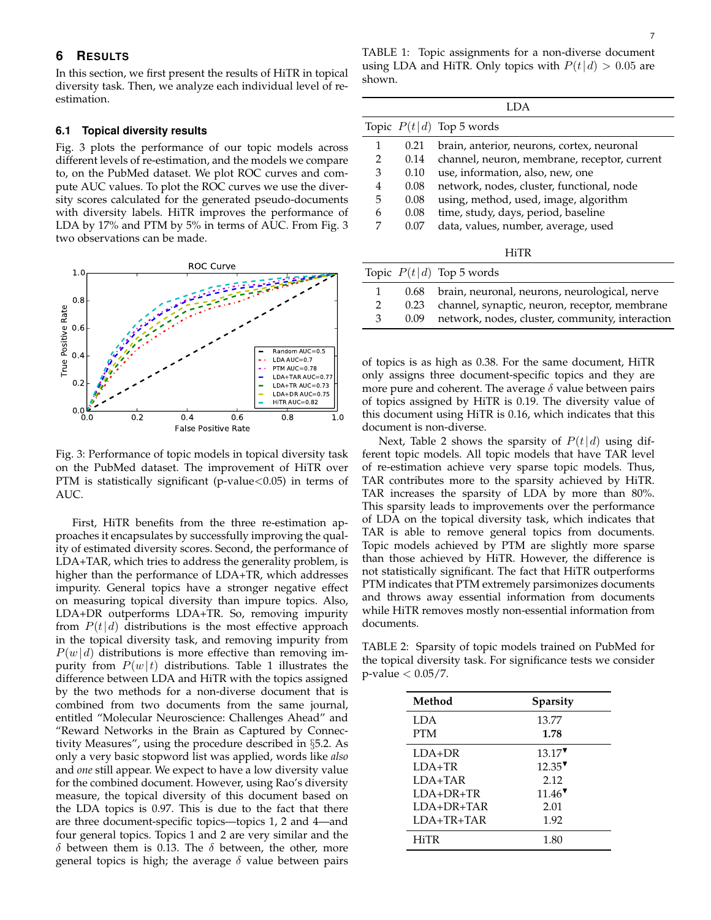# <span id="page-6-1"></span>**6 RESULTS**

In this section, we first present the results of HiTR in topical diversity task. Then, we analyze each individual level of reestimation.

#### <span id="page-6-0"></span>**6.1 Topical diversity results**

Fig. [3](#page-6-2) plots the performance of our topic models across different levels of re-estimation, and the models we compare to, on the PubMed dataset. We plot ROC curves and compute AUC values. To plot the ROC curves we use the diversity scores calculated for the generated pseudo-documents with diversity labels. HiTR improves the performance of LDA by 17% and PTM by 5% in terms of AUC. From Fig. [3](#page-6-2) two observations can be made.

<span id="page-6-2"></span>

Fig. 3: Performance of topic models in topical diversity task on the PubMed dataset. The improvement of HiTR over PTM is statistically significant (p-value $< 0.05$ ) in terms of AUC.

First, HiTR benefits from the three re-estimation approaches it encapsulates by successfully improving the quality of estimated diversity scores. Second, the performance of LDA+TAR, which tries to address the generality problem, is higher than the performance of LDA+TR, which addresses impurity. General topics have a stronger negative effect on measuring topical diversity than impure topics. Also, LDA+DR outperforms LDA+TR. So, removing impurity from  $P(t|d)$  distributions is the most effective approach in the topical diversity task, and removing impurity from  $P(w|d)$  distributions is more effective than removing impurity from  $P(w|t)$  distributions. Table [1](#page-6-3) illustrates the difference between LDA and HiTR with the topics assigned by the two methods for a non-diverse document that is combined from two documents from the same journal, entitled "Molecular Neuroscience: Challenges Ahead" and "Reward Networks in the Brain as Captured by Connectivity Measures", using the procedure described in §[5.2.](#page-5-0) As only a very basic stopword list was applied, words like *also* and *one* still appear. We expect to have a low diversity value for the combined document. However, using Rao's diversity measure, the topical diversity of this document based on the LDA topics is 0.97. This is due to the fact that there are three document-specific topics—topics 1, 2 and 4—and four general topics. Topics 1 and 2 are very similar and the δ between them is 0.13. The δ between, the other, more general topics is high; the average  $\delta$  value between pairs

<span id="page-6-3"></span>TABLE 1: Topic assignments for a non-diverse document using LDA and HiTR. Only topics with  $P(t|d) > 0.05$  are shown.

|               |      | Topic $P(t d)$ Top 5 words                   |
|---------------|------|----------------------------------------------|
| 1             | 0.21 | brain, anterior, neurons, cortex, neuronal   |
| $\mathcal{P}$ | 0.14 | channel, neuron, membrane, receptor, current |
| 3             | 0.10 | use, information, also, new, one             |
|               | 0.08 | network, nodes, cluster, functional, node    |
| 5             | 0.08 | using, method, used, image, algorithm        |
| 6             | 0.08 | time, study, days, period, baseline          |
|               | 0.07 | data, values, number, average, used          |

HiTR

|   | Topic $P(t d)$ Top 5 words                           |
|---|------------------------------------------------------|
|   | 0.68 brain, neuronal, neurons, neurological, nerve   |
|   | 0.23 channel, synaptic, neuron, receptor, membrane   |
| 3 | 0.09 network, nodes, cluster, community, interaction |

of topics is as high as 0.38. For the same document, HiTR only assigns three document-specific topics and they are more pure and coherent. The average  $\delta$  value between pairs of topics assigned by HiTR is 0.19. The diversity value of this document using HiTR is 0.16, which indicates that this document is non-diverse.

Next, Table [2](#page-6-4) shows the sparsity of  $P(t|d)$  using different topic models. All topic models that have TAR level of re-estimation achieve very sparse topic models. Thus, TAR contributes more to the sparsity achieved by HiTR. TAR increases the sparsity of LDA by more than 80%. This sparsity leads to improvements over the performance of LDA on the topical diversity task, which indicates that TAR is able to remove general topics from documents. Topic models achieved by PTM are slightly more sparse than those achieved by HiTR. However, the difference is not statistically significant. The fact that HiTR outperforms PTM indicates that PTM extremely parsimonizes documents and throws away essential information from documents while HiTR removes mostly non-essential information from documents.

<span id="page-6-4"></span>TABLE 2: Sparsity of topic models trained on PubMed for the topical diversity task. For significance tests we consider  $p$ -value  $< 0.05/7$ .

| Method      | <b>Sparsity</b>                            |
|-------------|--------------------------------------------|
| LDA         | 13.77                                      |
| <b>PTM</b>  | 1.78                                       |
| LDA+DR      | $13.17$ <sup><math>\textbf{V}</math></sup> |
| LDA+TR      | $12.35$ <sup>V</sup>                       |
| LDA+TAR     | 2.12                                       |
| $LDA+DR+TR$ | $11.46$ <sup>V</sup>                       |
| LDA+DR+TAR  | 2.01                                       |
| LDA+TR+TAR  | 1.92                                       |
| HiTR        | 1.80                                       |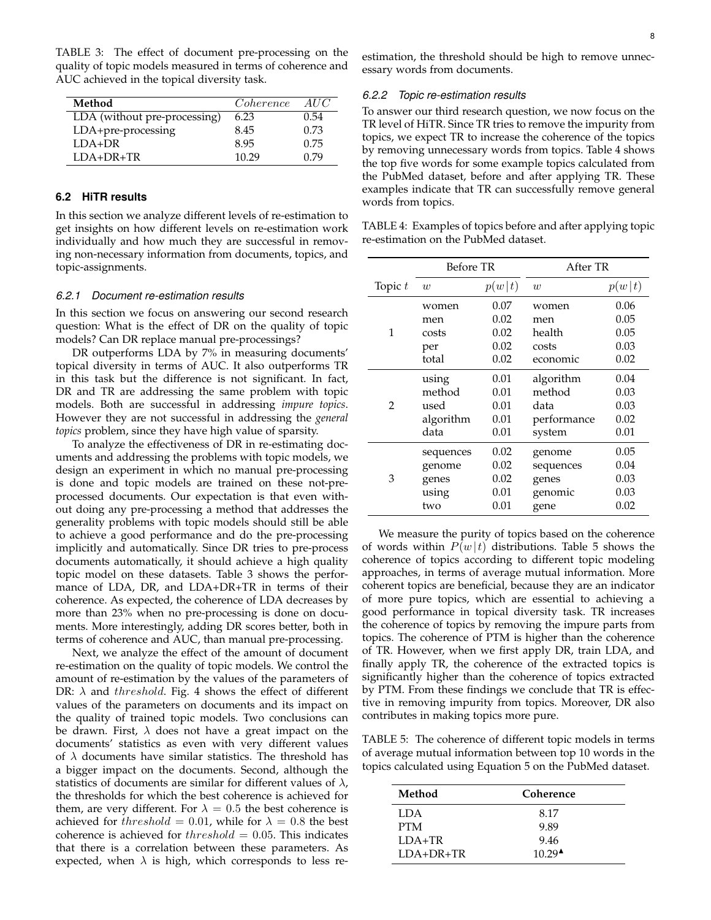<span id="page-7-2"></span>TABLE 3: The effect of document pre-processing on the quality of topic models measured in terms of coherence and AUC achieved in the topical diversity task.

| Method                       | Coherence | AUC  |
|------------------------------|-----------|------|
| LDA (without pre-processing) | 6.23      | 0.54 |
| LDA+pre-processing           | 8.45      | 0.73 |
| $LDA+DR$                     | 8.95      | 0.75 |
| $LDA+DR+TR$                  | 10.29     | 0.79 |

# **6.2 HiTR results**

In this section we analyze different levels of re-estimation to get insights on how different levels on re-estimation work individually and how much they are successful in removing non-necessary information from documents, topics, and topic-assignments.

#### <span id="page-7-0"></span>*6.2.1 Document re-estimation results*

In this section we focus on answering our second research question: What is the effect of DR on the quality of topic models? Can DR replace manual pre-processings?

DR outperforms LDA by 7% in measuring documents' topical diversity in terms of AUC. It also outperforms TR in this task but the difference is not significant. In fact, DR and TR are addressing the same problem with topic models. Both are successful in addressing *impure topics*. However they are not successful in addressing the *general topics* problem, since they have high value of sparsity.

To analyze the effectiveness of DR in re-estimating documents and addressing the problems with topic models, we design an experiment in which no manual pre-processing is done and topic models are trained on these not-preprocessed documents. Our expectation is that even without doing any pre-processing a method that addresses the generality problems with topic models should still be able to achieve a good performance and do the pre-processing implicitly and automatically. Since DR tries to pre-process documents automatically, it should achieve a high quality topic model on these datasets. Table [3](#page-7-2) shows the performance of LDA, DR, and LDA+DR+TR in terms of their coherence. As expected, the coherence of LDA decreases by more than 23% when no pre-processing is done on documents. More interestingly, adding DR scores better, both in terms of coherence and AUC, than manual pre-processing.

Next, we analyze the effect of the amount of document re-estimation on the quality of topic models. We control the amount of re-estimation by the values of the parameters of DR:  $\lambda$  and *threshold*. Fig. [4](#page-8-1) shows the effect of different values of the parameters on documents and its impact on the quality of trained topic models. Two conclusions can be drawn. First,  $\lambda$  does not have a great impact on the documents' statistics as even with very different values of  $\lambda$  documents have similar statistics. The threshold has a bigger impact on the documents. Second, although the statistics of documents are similar for different values of  $\lambda$ , the thresholds for which the best coherence is achieved for them, are very different. For  $\lambda = 0.5$  the best coherence is achieved for threshold = 0.01, while for  $\lambda = 0.8$  the best coherence is achieved for  $threshold = 0.05$ . This indicates that there is a correlation between these parameters. As expected, when  $\lambda$  is high, which corresponds to less re-

estimation, the threshold should be high to remove unnecessary words from documents.

#### <span id="page-7-1"></span>*6.2.2 Topic re-estimation results*

To answer our third research question, we now focus on the TR level of HiTR. Since TR tries to remove the impurity from topics, we expect TR to increase the coherence of the topics by removing unnecessary words from topics. Table [4](#page-7-3) shows the top five words for some example topics calculated from the PubMed dataset, before and after applying TR. These examples indicate that TR can successfully remove general words from topics.

<span id="page-7-3"></span>TABLE 4: Examples of topics before and after applying topic re-estimation on the PubMed dataset.

|                | Before TR        |        | After TR       |        |  |
|----------------|------------------|--------|----------------|--------|--|
| Topic $t$      | $\boldsymbol{w}$ | p(w t) | $\overline{w}$ | p(w t) |  |
|                | women            | 0.07   | women          | 0.06   |  |
|                | men              | 0.02   | men            | 0.05   |  |
| 1              | costs            | 0.02   | health         | 0.05   |  |
|                | per              | 0.02   | costs          | 0.03   |  |
|                | total            | 0.02   | economic       | 0.02   |  |
|                | using            | 0.01   | algorithm      | 0.04   |  |
|                | method           | 0.01   | method         | 0.03   |  |
| $\overline{2}$ | used             | 0.01   | data           | 0.03   |  |
|                | algorithm        | 0.01   | performance    | 0.02   |  |
|                | data             | 0.01   | system         | 0.01   |  |
|                | sequences        | 0.02   | genome         | 0.05   |  |
|                | genome           | 0.02   | sequences      | 0.04   |  |
| 3              | genes            | 0.02   | genes          | 0.03   |  |
|                | using            | 0.01   | genomic        | 0.03   |  |
|                | two              | 0.01   | gene           | 0.02   |  |

We measure the purity of topics based on the coherence of words within  $P(w|t)$  distributions. Table [5](#page-7-4) shows the coherence of topics according to different topic modeling approaches, in terms of average mutual information. More coherent topics are beneficial, because they are an indicator of more pure topics, which are essential to achieving a good performance in topical diversity task. TR increases the coherence of topics by removing the impure parts from topics. The coherence of PTM is higher than the coherence of TR. However, when we first apply DR, train LDA, and finally apply TR, the coherence of the extracted topics is significantly higher than the coherence of topics extracted by PTM. From these findings we conclude that TR is effective in removing impurity from topics. Moreover, DR also contributes in making topics more pure.

<span id="page-7-4"></span>TABLE 5: The coherence of different topic models in terms of average mutual information between top 10 words in the topics calculated using Equation [5](#page-5-1) on the PubMed dataset.

| Method      | Coherence                                 |
|-------------|-------------------------------------------|
| LDA         | 8.17                                      |
| <b>PTM</b>  | 9.89                                      |
| $LDA+TR$    | 9.46                                      |
| $LDA+DR+TR$ | $10.29$ <sup><math>\triangle</math></sup> |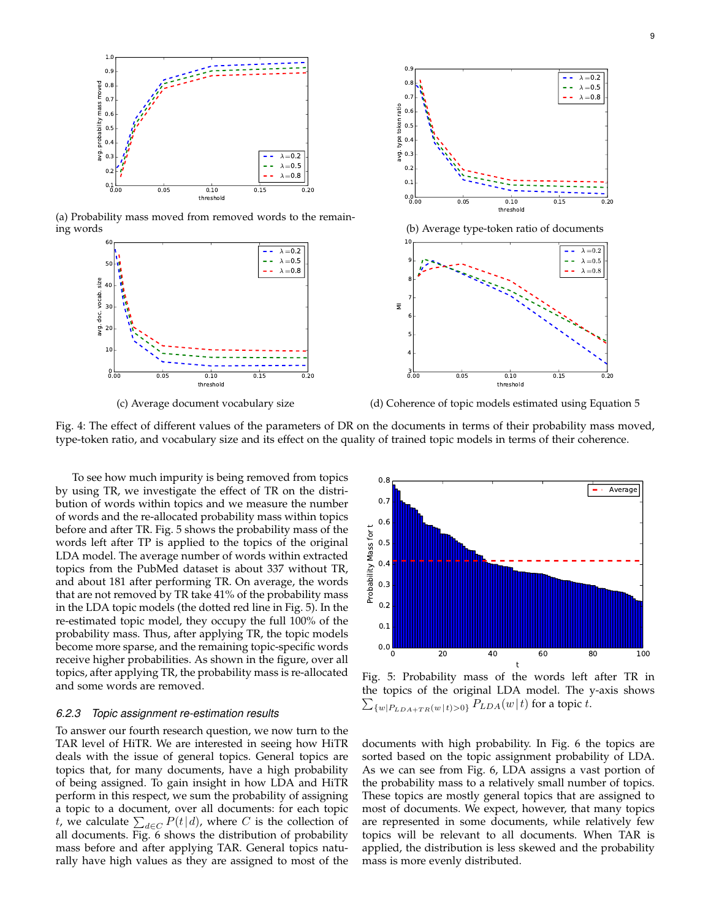<span id="page-8-1"></span>

(a) Probability mass moved from removed words to the remaining words



(c) Average document vocabulary size



(b) Average type-token ratio of documents



(d) Coherence of topic models estimated using Equation [5](#page-5-1)

Fig. 4: The effect of different values of the parameters of DR on the documents in terms of their probability mass moved, type-token ratio, and vocabulary size and its effect on the quality of trained topic models in terms of their coherence.

To see how much impurity is being removed from topics by using TR, we investigate the effect of TR on the distribution of words within topics and we measure the number of words and the re-allocated probability mass within topics before and after TR. Fig. [5](#page-8-2) shows the probability mass of the words left after TP is applied to the topics of the original LDA model. The average number of words within extracted topics from the PubMed dataset is about 337 without TR, and about 181 after performing TR. On average, the words that are not removed by TR take 41% of the probability mass in the LDA topic models (the dotted red line in Fig. [5\)](#page-8-2). In the re-estimated topic model, they occupy the full 100% of the probability mass. Thus, after applying TR, the topic models become more sparse, and the remaining topic-specific words receive higher probabilities. As shown in the figure, over all topics, after applying TR, the probability mass is re-allocated and some words are removed.

#### <span id="page-8-0"></span>*6.2.3 Topic assignment re-estimation results*

To answer our fourth research question, we now turn to the TAR level of HiTR. We are interested in seeing how HiTR deals with the issue of general topics. General topics are topics that, for many documents, have a high probability of being assigned. To gain insight in how LDA and HiTR perform in this respect, we sum the probability of assigning a topic to a document, over all documents: for each topic t, we calculate  $\sum_{d \in C} P(t | d)$ , where C is the collection of all documents. Fig. [6](#page-9-0) shows the distribution of probability mass before and after applying TAR. General topics naturally have high values as they are assigned to most of the

<span id="page-8-2"></span>

Fig. 5: Probability mass of the words left after TR in the topics of the original LDA model. The y-axis shows  $\sum_{\{w|P_{LDA+TR}(w|\, t)>0\}} P_{LDA}(w|\, t)$  for a topic  $t.$ 

documents with high probability. In Fig. [6](#page-9-0) the topics are sorted based on the topic assignment probability of LDA. As we can see from Fig. [6,](#page-9-0) LDA assigns a vast portion of the probability mass to a relatively small number of topics. These topics are mostly general topics that are assigned to most of documents. We expect, however, that many topics are represented in some documents, while relatively few topics will be relevant to all documents. When TAR is applied, the distribution is less skewed and the probability mass is more evenly distributed.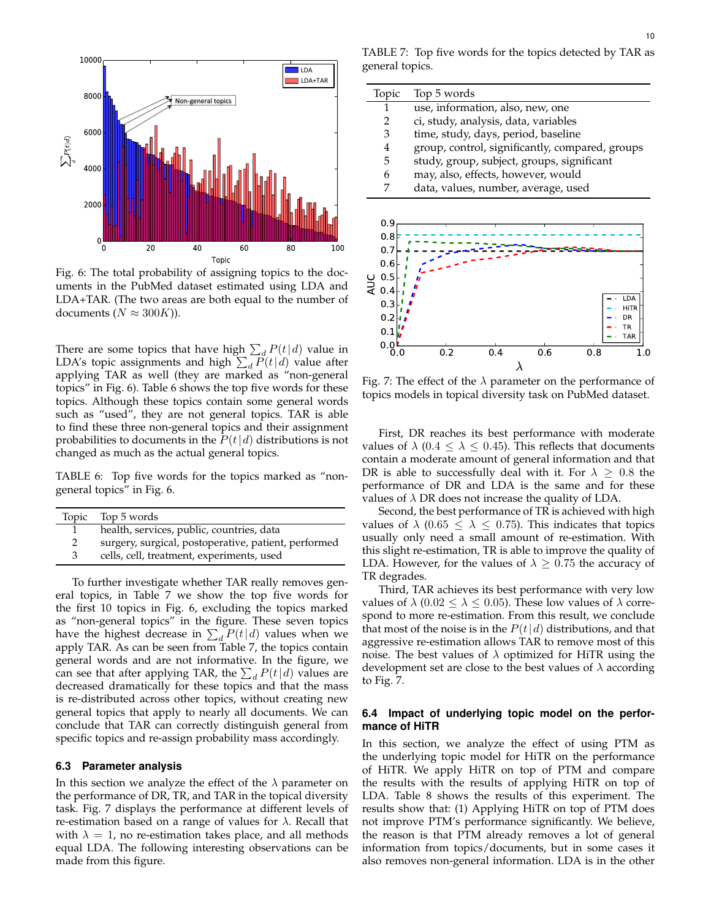<span id="page-9-0"></span>

Fig. 6: The total probability of assigning topics to the documents in the PubMed dataset estimated using LDA and LDA+TAR. (The two areas are both equal to the number of documents ( $N \approx 300K$ )).

There are some topics that have high  $\sum_{d} P(t | d)$  value in LDA's topic assignments and high  $\sum_d P(t|d)$  value after applying TAR as well (they are marked as "non-general topics" in Fig. [6\)](#page-9-0). Table [6](#page-9-1) shows the top five words for these topics. Although these topics contain some general words such as "used", they are not general topics. TAR is able to find these three non-general topics and their assignment probabilities to documents in the  $P(t|d)$  distributions is not changed as much as the actual general topics.

<span id="page-9-1"></span>TABLE 6: Top five words for the topics marked as "nongeneral topics" in Fig. [6.](#page-9-0)

|   | Topic Top 5 words                                    |
|---|------------------------------------------------------|
|   | health, services, public, countries, data            |
|   | surgery, surgical, postoperative, patient, performed |
| 3 | cells, cell, treatment, experiments, used            |

To further investigate whether TAR really removes general topics, in Table [7](#page-9-2) we show the top five words for the first 10 topics in Fig. [6,](#page-9-0) excluding the topics marked as "non-general topics" in the figure. These seven topics have the highest decrease in  $\sum_d P(t|d)$  values when we apply TAR. As can be seen from Table [7,](#page-9-2) the topics contain general words and are not informative. In the figure, we can see that after applying TAR, the  $\sum_{d} P(t | d)$  values are decreased dramatically for these topics and that the mass is re-distributed across other topics, without creating new general topics that apply to nearly all documents. We can conclude that TAR can correctly distinguish general from specific topics and re-assign probability mass accordingly.

#### **6.3 Parameter analysis**

In this section we analyze the effect of the  $\lambda$  parameter on the performance of DR, TR, and TAR in the topical diversity task. Fig. [7](#page-9-3) displays the performance at different levels of re-estimation based on a range of values for  $\lambda$ . Recall that with  $\lambda = 1$ , no re-estimation takes place, and all methods equal LDA. The following interesting observations can be made from this figure.

10

<span id="page-9-2"></span>

| use, information, also, new, one<br>1<br>ci, study, analysis, data, variables<br>$\mathcal{P}$ |  |
|------------------------------------------------------------------------------------------------|--|
|                                                                                                |  |
|                                                                                                |  |
| time, study, days, period, baseline<br>3                                                       |  |
| group, control, significantly, compared, groups<br>4                                           |  |
| study, group, subject, groups, significant<br>5                                                |  |
| may, also, effects, however, would<br>6                                                        |  |
| data, values, number, average, used                                                            |  |

<span id="page-9-3"></span>

Fig. 7: The effect of the  $\lambda$  parameter on the performance of topics models in topical diversity task on PubMed dataset.

First, DR reaches its best performance with moderate values of  $\lambda$  (0.4  $\leq \lambda \leq$  0.45). This reflects that documents contain a moderate amount of general information and that DR is able to successfully deal with it. For  $\lambda \geq 0.8$  the performance of DR and LDA is the same and for these values of  $\lambda$  DR does not increase the quality of LDA.

Second, the best performance of TR is achieved with high values of  $\lambda$  (0.65  $\leq \lambda \leq$  0.75). This indicates that topics usually only need a small amount of re-estimation. With this slight re-estimation, TR is able to improve the quality of LDA. However, for the values of  $\lambda \geq 0.75$  the accuracy of TR degrades.

Third, TAR achieves its best performance with very low values of  $\lambda$  (0.02  $\leq \lambda \leq$  0.05). These low values of  $\lambda$  correspond to more re-estimation. From this result, we conclude that most of the noise is in the  $P(t|d)$  distributions, and that aggressive re-estimation allows TAR to remove most of this noise. The best values of  $\lambda$  optimized for HiTR using the development set are close to the best values of  $\lambda$  according to Fig. [7.](#page-9-3)

## **6.4 Impact of underlying topic model on the performance of HiTR**

In this section, we analyze the effect of using PTM as the underlying topic model for HiTR on the performance of HiTR. We apply HiTR on top of PTM and compare the results with the results of applying HiTR on top of LDA. Table [8](#page-10-1) shows the results of this experiment. The results show that: (1) Applying HiTR on top of PTM does not improve PTM's performance significantly. We believe, the reason is that PTM already removes a lot of general information from topics/documents, but in some cases it also removes non-general information. LDA is in the other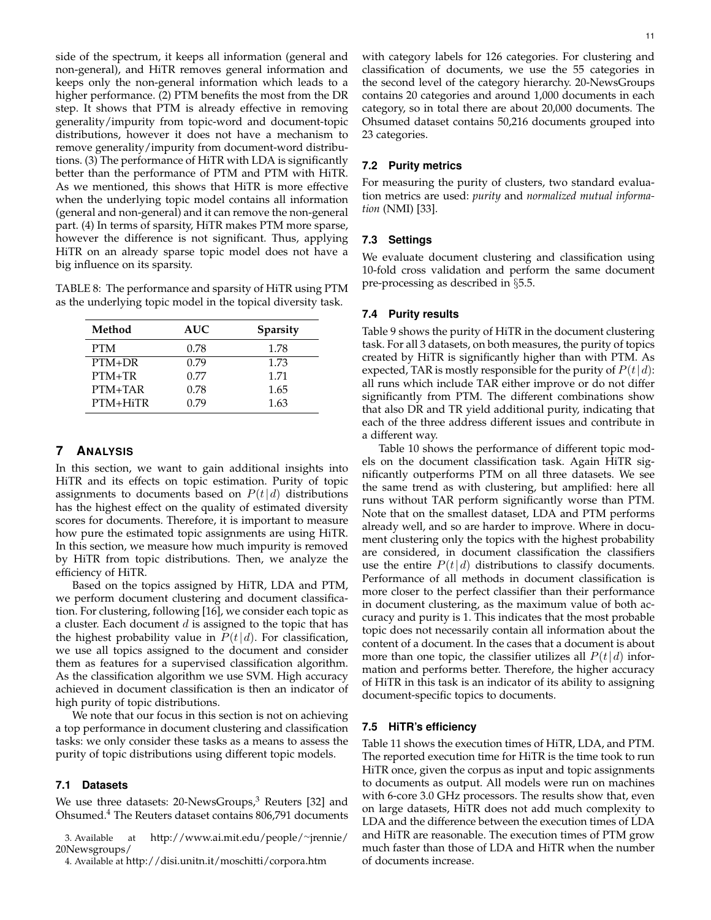side of the spectrum, it keeps all information (general and non-general), and HiTR removes general information and keeps only the non-general information which leads to a higher performance. (2) PTM benefits the most from the DR step. It shows that PTM is already effective in removing generality/impurity from topic-word and document-topic distributions, however it does not have a mechanism to remove generality/impurity from document-word distributions. (3) The performance of HiTR with LDA is significantly better than the performance of PTM and PTM with HiTR. As we mentioned, this shows that HiTR is more effective when the underlying topic model contains all information (general and non-general) and it can remove the non-general part. (4) In terms of sparsity, HiTR makes PTM more sparse, however the difference is not significant. Thus, applying HiTR on an already sparse topic model does not have a big influence on its sparsity.

<span id="page-10-1"></span>TABLE 8: The performance and sparsity of HiTR using PTM as the underlying topic model in the topical diversity task.

| Method     | <b>AUC</b> | Sparsity |
|------------|------------|----------|
| <b>PTM</b> | 0.78       | 1.78     |
| $PTM+DR$   | 0.79       | 1.73     |
| $PTM+TR$   | 0.77       | 1.71     |
| PTM+TAR    | 0.78       | 1.65     |
| PTM+HiTR   | 0.79       | 1.63     |

# <span id="page-10-0"></span>**7 ANALYSIS**

In this section, we want to gain additional insights into HiTR and its effects on topic estimation. Purity of topic assignments to documents based on  $P(t|d)$  distributions has the highest effect on the quality of estimated diversity scores for documents. Therefore, it is important to measure how pure the estimated topic assignments are using HiTR. In this section, we measure how much impurity is removed by HiTR from topic distributions. Then, we analyze the efficiency of HiTR.

Based on the topics assigned by HiTR, LDA and PTM, we perform document clustering and document classification. For clustering, following [\[16\]](#page-12-14), we consider each topic as a cluster. Each document  $d$  is assigned to the topic that has the highest probability value in  $P(t|d)$ . For classification, we use all topics assigned to the document and consider them as features for a supervised classification algorithm. As the classification algorithm we use SVM. High accuracy achieved in document classification is then an indicator of high purity of topic distributions.

We note that our focus in this section is not on achieving a top performance in document clustering and classification tasks: we only consider these tasks as a means to assess the purity of topic distributions using different topic models.

# **7.1 Datasets**

We use three datasets:  $20$ -NewsGroups, $3$  Reuters [\[32\]](#page-13-8) and Ohsumed.[4](#page-0-1) The Reuters dataset contains 806,791 documents

3. Available at [http://www.ai.mit.edu/people/](http://www.ai.mit.edu/people/~jrennie/20Newsgroups/)<sup>∼</sup>jrennie/ [20Newsgroups/](http://www.ai.mit.edu/people/~jrennie/20Newsgroups/)

4. Available at <http://disi.unitn.it/moschitti/corpora.htm>

with category labels for 126 categories. For clustering and classification of documents, we use the 55 categories in the second level of the category hierarchy. 20-NewsGroups contains 20 categories and around 1,000 documents in each category, so in total there are about 20,000 documents. The Ohsumed dataset contains 50,216 documents grouped into 23 categories.

# **7.2 Purity metrics**

For measuring the purity of clusters, two standard evaluation metrics are used: *purity* and *normalized mutual information* (NMI) [\[33\]](#page-13-9).

### **7.3 Settings**

We evaluate document clustering and classification using 10-fold cross validation and perform the same document pre-processing as described in §[5.5.](#page-5-2)

# **7.4 Purity results**

Table [9](#page-11-0) shows the purity of HiTR in the document clustering task. For all 3 datasets, on both measures, the purity of topics created by HiTR is significantly higher than with PTM. As expected, TAR is mostly responsible for the purity of  $P(t|d)$ : all runs which include TAR either improve or do not differ significantly from PTM. The different combinations show that also DR and TR yield additional purity, indicating that each of the three address different issues and contribute in a different way.

Table [10](#page-11-1) shows the performance of different topic models on the document classification task. Again HiTR significantly outperforms PTM on all three datasets. We see the same trend as with clustering, but amplified: here all runs without TAR perform significantly worse than PTM. Note that on the smallest dataset, LDA and PTM performs already well, and so are harder to improve. Where in document clustering only the topics with the highest probability are considered, in document classification the classifiers use the entire  $P(t|d)$  distributions to classify documents. Performance of all methods in document classification is more closer to the perfect classifier than their performance in document clustering, as the maximum value of both accuracy and purity is 1. This indicates that the most probable topic does not necessarily contain all information about the content of a document. In the cases that a document is about more than one topic, the classifier utilizes all  $P(t|d)$  information and performs better. Therefore, the higher accuracy of HiTR in this task is an indicator of its ability to assigning document-specific topics to documents.

# **7.5 HiTR's efficiency**

Table [11](#page-11-2) shows the execution times of HiTR, LDA, and PTM. The reported execution time for HiTR is the time took to run HiTR once, given the corpus as input and topic assignments to documents as output. All models were run on machines with 6-core 3.0 GHz processors. The results show that, even on large datasets, HiTR does not add much complexity to LDA and the difference between the execution times of LDA and HiTR are reasonable. The execution times of PTM grow much faster than those of LDA and HiTR when the number of documents increase.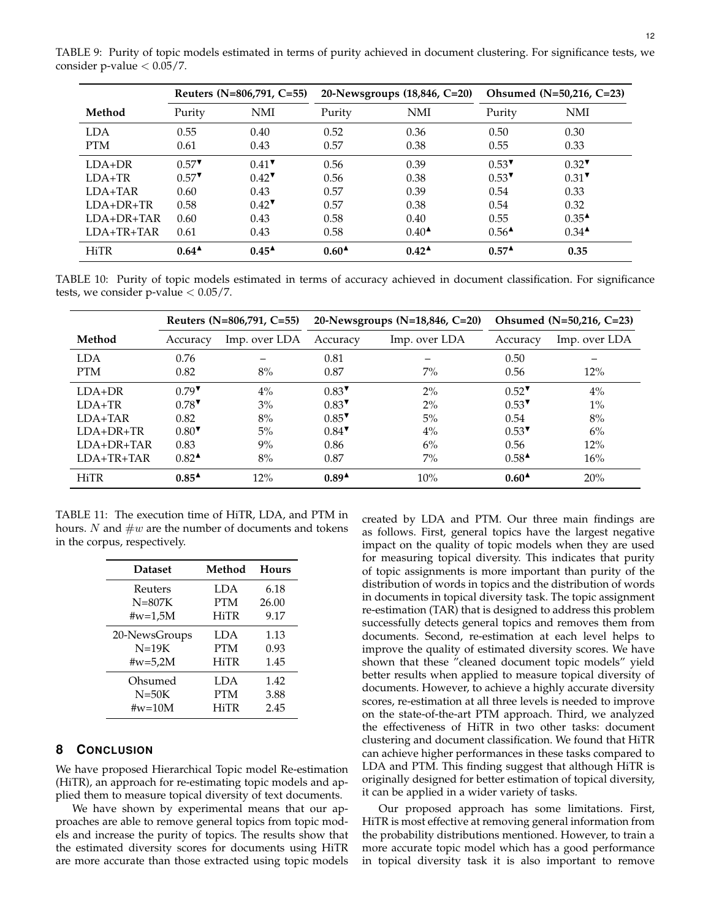<span id="page-11-0"></span>TABLE 9: Purity of topic models estimated in terms of purity achieved in document clustering. For significance tests, we consider p-value  $< 0.05/7$ .

|              | Reuters (N=806,791, C=55)                    |                                              | 20-Newsgroups (18,846, C=20) |                    | Ohsumed $(N=50,216, C=23)$                   |                                              |
|--------------|----------------------------------------------|----------------------------------------------|------------------------------|--------------------|----------------------------------------------|----------------------------------------------|
| Method       | Purity                                       | NMI                                          | Purity                       | NMI                | Purity                                       | <b>NMI</b>                                   |
| <b>LDA</b>   | 0.55                                         | 0.40                                         | 0.52                         | 0.36               | 0.50                                         | 0.30                                         |
| <b>PTM</b>   | 0.61                                         | 0.43                                         | 0.57                         | 0.38               | 0.55                                         | 0.33                                         |
| $LDA+DR$     | $0.57$ <sup><math>\overline{ }</math></sup>  | $0.41$ <sup><math>\triangledown</math></sup> | 0.56                         | 0.39               | $0.53$ <sup><math>\triangledown</math></sup> | $0.32$ <sup><math>\triangledown</math></sup> |
| $LDA+TR$     | $0.57$ <sup><math>\triangledown</math></sup> | $0.42$ <sup><math>\triangledown</math></sup> | 0.56                         | 0.38               | $0.53$ <sup><math>\triangledown</math></sup> | $0.31$ <sup><math>\triangledown</math></sup> |
| LDA+TAR      | 0.60                                         | 0.43                                         | 0.57                         | 0.39               | 0.54                                         | 0.33                                         |
| $LDA+DR+TR$  | 0.58                                         | $0.42$ <sup><math>\triangledown</math></sup> | 0.57                         | 0.38               | 0.54                                         | 0.32                                         |
| $LDA+DR+TAR$ | 0.60                                         | 0.43                                         | 0.58                         | 0.40               | 0.55                                         | $0.35^{\text{A}}$                            |
| $LDA+TR+TAR$ | 0.61                                         | 0.43                                         | 0.58                         | $0.40^{\triangle}$ | $0.56^{\text{A}}$                            | $0.34^{\triangle}$                           |
| HiTR         | $0.64^{\triangle}$                           | $0.45^{\text{A}}$                            | $0.60^{\AA}$                 | $0.42^{\triangle}$ | $0.57^{\text{A}}$                            | 0.35                                         |

<span id="page-11-1"></span>TABLE 10: Purity of topic models estimated in terms of accuracy achieved in document classification. For significance tests, we consider p-value  $< 0.05/7$ .

|              | Reuters (N=806,791, C=55)                         |               | 20-Newsgroups (N=18,846, C=20)                    |               | Ohsumed $(N=50,216, C=23)$                        |               |
|--------------|---------------------------------------------------|---------------|---------------------------------------------------|---------------|---------------------------------------------------|---------------|
| Method       | Accuracy                                          | Imp. over LDA | Accuracy                                          | Imp. over LDA | Accuracy                                          | Imp. over LDA |
| <b>LDA</b>   | 0.76                                              |               | 0.81                                              |               | 0.50                                              |               |
| <b>PTM</b>   | 0.82                                              | 8%            | 0.87                                              | $7\%$         | 0.56                                              | 12%           |
| $LDA+DR$     | $0.79$ <sup><math>\blacktriangledown</math></sup> | $4\%$         | $0.83$ <sup><math>\blacktriangledown</math></sup> | $2\%$         | $0.52$ <sup><math>\triangledown</math></sup>      | $4\%$         |
| $LDA+TR$     | $0.78$ <sup><math>\triangledown</math></sup>      | 3%            | $0.83$ <sup>V</sup>                               | $2\%$         | $0.53$ <sup>V</sup>                               | $1\%$         |
| LDA+TAR      | 0.82                                              | 8%            | $0.85$ <sup><math>\bullet</math></sup>            | $5\%$         | 0.54                                              | 8%            |
| $LDA+DR+TR$  | $0.80$ <sup><math>\triangledown</math></sup>      | 5%            | $0.84$ <sup><math>\triangledown</math></sup>      | $4\%$         | $0.53$ <sup><math>\blacktriangledown</math></sup> | 6%            |
| $LDA+DR+TAR$ | 0.83                                              | 9%            | 0.86                                              | $6\%$         | 0.56                                              | 12%           |
| $LDA+TR+TAR$ | $0.82$ <sup><math>\triangle</math></sup>          | 8%            | 0.87                                              | $7\%$         | $0.58^{\triangle}$                                | 16%           |
| <b>HiTR</b>  | $0.85^{\text{A}}$                                 | 12%           | $0.89^{\AA}$                                      | 10%           | $0.60^{\AA}$                                      | 20%           |

<span id="page-11-2"></span>TABLE 11: The execution time of HiTR, LDA, and PTM in hours. N and  $\#w$  are the number of documents and tokens in the corpus, respectively.

| <b>Dataset</b>    | Method      | Hours |
|-------------------|-------------|-------|
| Reuters           | LDA         | 6.18  |
| $N=807K$          | <b>PTM</b>  | 26.00 |
| $\#w=1,5M$        | <b>HiTR</b> | 9.17  |
| 20-NewsGroups     | LDA         | 1.13  |
| $N=19K$           | <b>PTM</b>  | 0.93  |
| $\#w = 5,2M$      | <b>HiTR</b> | 1.45  |
| Ohsumed           | LDA         | 1.42  |
| $N = 50K$         | <b>PTM</b>  | 3.88  |
| $\text{\#w}=10$ M | <b>HiTR</b> | 2.45  |

# **8 CONCLUSION**

We have proposed Hierarchical Topic model Re-estimation (HiTR), an approach for re-estimating topic models and applied them to measure topical diversity of text documents.

We have shown by experimental means that our approaches are able to remove general topics from topic models and increase the purity of topics. The results show that the estimated diversity scores for documents using HiTR are more accurate than those extracted using topic models created by LDA and PTM. Our three main findings are as follows. First, general topics have the largest negative impact on the quality of topic models when they are used for measuring topical diversity. This indicates that purity of topic assignments is more important than purity of the distribution of words in topics and the distribution of words in documents in topical diversity task. The topic assignment re-estimation (TAR) that is designed to address this problem successfully detects general topics and removes them from documents. Second, re-estimation at each level helps to improve the quality of estimated diversity scores. We have shown that these "cleaned document topic models" yield better results when applied to measure topical diversity of documents. However, to achieve a highly accurate diversity scores, re-estimation at all three levels is needed to improve on the state-of-the-art PTM approach. Third, we analyzed the effectiveness of HiTR in two other tasks: document clustering and document classification. We found that HiTR can achieve higher performances in these tasks compared to LDA and PTM. This finding suggest that although HiTR is originally designed for better estimation of topical diversity, it can be applied in a wider variety of tasks.

Our proposed approach has some limitations. First, HiTR is most effective at removing general information from the probability distributions mentioned. However, to train a more accurate topic model which has a good performance in topical diversity task it is also important to remove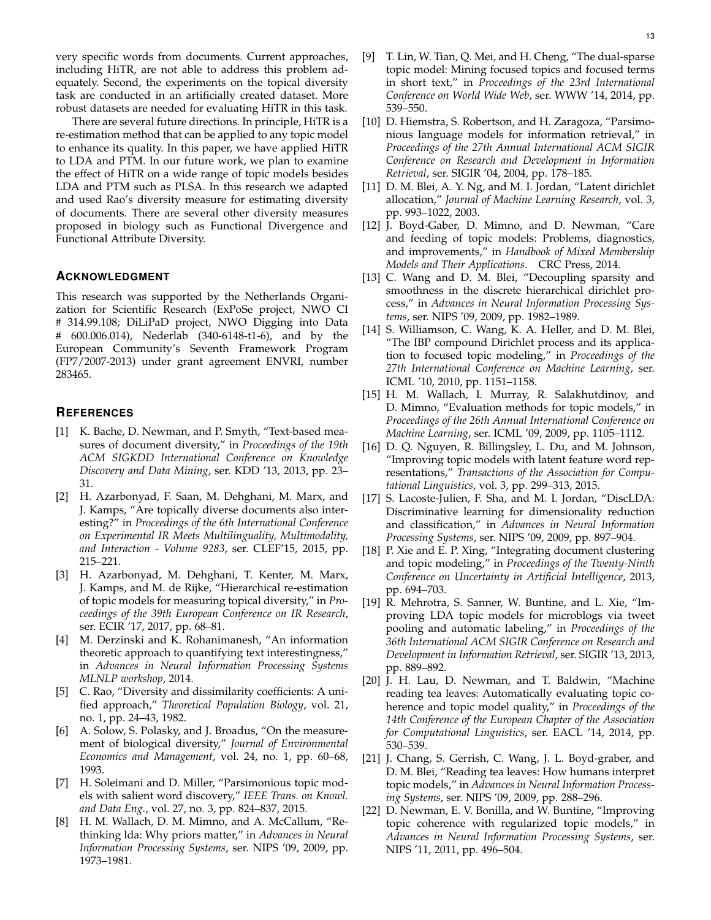very specific words from documents. Current approaches, including HiTR, are not able to address this problem adequately. Second, the experiments on the topical diversity task are conducted in an artificially created dataset. More robust datasets are needed for evaluating HiTR in this task.

There are several future directions. In principle, HiTR is a re-estimation method that can be applied to any topic model to enhance its quality. In this paper, we have applied HiTR to LDA and PTM. In our future work, we plan to examine the effect of HiTR on a wide range of topic models besides LDA and PTM such as PLSA. In this research we adapted and used Rao's diversity measure for estimating diversity of documents. There are several other diversity measures proposed in biology such as Functional Divergence and Functional Attribute Diversity.

# **ACKNOWLEDGMENT**

This research was supported by the Netherlands Organization for Scientific Research (ExPoSe project, NWO CI # 314.99.108; DiLiPaD project, NWO Digging into Data # 600.006.014), Nederlab (340-6148-t1-6), and by the European Community's Seventh Framework Program (FP7/2007-2013) under grant agreement ENVRI, number 283465.

# **REFERENCES**

- <span id="page-12-0"></span>[1] K. Bache, D. Newman, and P. Smyth, "Text-based measures of document diversity," in *Proceedings of the 19th ACM SIGKDD International Conference on Knowledge Discovery and Data Mining*, ser. KDD '13, 2013, pp. 23– 31.
- <span id="page-12-1"></span>[2] H. Azarbonyad, F. Saan, M. Dehghani, M. Marx, and J. Kamps, "Are topically diverse documents also interesting?" in *Proceedings of the 6th International Conference on Experimental IR Meets Multilinguality, Multimodality, and Interaction - Volume 9283*, ser. CLEF'15, 2015, pp. 215–221.
- [3] H. Azarbonyad, M. Dehghani, T. Kenter, M. Marx, J. Kamps, and M. de Rijke, "Hierarchical re-estimation of topic models for measuring topical diversity," in *Proceedings of the 39th European Conference on IR Research*, ser. ECIR '17, 2017, pp. 68–81.
- <span id="page-12-2"></span>[4] M. Derzinski and K. Rohanimanesh, "An information theoretic approach to quantifying text interestingness," in *Advances in Neural Information Processing Systems MLNLP workshop*, 2014.
- <span id="page-12-3"></span>[5] C. Rao, "Diversity and dissimilarity coefficients: A unified approach," *Theoretical Population Biology*, vol. 21, no. 1, pp. 24–43, 1982.
- <span id="page-12-4"></span>[6] A. Solow, S. Polasky, and J. Broadus, "On the measurement of biological diversity," *Journal of Environmental Economics and Management*, vol. 24, no. 1, pp. 60–68, 1993.
- <span id="page-12-5"></span>[7] H. Soleimani and D. Miller, "Parsimonious topic models with salient word discovery," *IEEE Trans. on Knowl. and Data Eng.*, vol. 27, no. 3, pp. 824–837, 2015.
- <span id="page-12-10"></span>[8] H. M. Wallach, D. M. Mimno, and A. McCallum, "Rethinking lda: Why priors matter," in *Advances in Neural Information Processing Systems*, ser. NIPS '09, 2009, pp. 1973–1981.
- <span id="page-12-6"></span>[9] T. Lin, W. Tian, Q. Mei, and H. Cheng, "The dual-sparse topic model: Mining focused topics and focused terms in short text," in *Proceedings of the 23rd International Conference on World Wide Web*, ser. WWW '14, 2014, pp. 539–550.
- <span id="page-12-7"></span>[10] D. Hiemstra, S. Robertson, and H. Zaragoza, "Parsimonious language models for information retrieval," in *Proceedings of the 27th Annual International ACM SIGIR Conference on Research and Development in Information Retrieval*, ser. SIGIR '04, 2004, pp. 178–185.
- <span id="page-12-8"></span>[11] D. M. Blei, A. Y. Ng, and M. I. Jordan, "Latent dirichlet allocation," *Journal of Machine Learning Research*, vol. 3, pp. 993–1022, 2003.
- <span id="page-12-9"></span>[12] J. Boyd-Gaber, D. Mimno, and D. Newman, "Care and feeding of topic models: Problems, diagnostics, and improvements," in *Handbook of Mixed Membership Models and Their Applications*. CRC Press, 2014.
- <span id="page-12-11"></span>[13] C. Wang and D. M. Blei, "Decoupling sparsity and smoothness in the discrete hierarchical dirichlet process," in *Advances in Neural Information Processing Systems*, ser. NIPS '09, 2009, pp. 1982–1989.
- <span id="page-12-12"></span>[14] S. Williamson, C. Wang, K. A. Heller, and D. M. Blei, "The IBP compound Dirichlet process and its application to focused topic modeling," in *Proceedings of the 27th International Conference on Machine Learning*, ser. ICML '10, 2010, pp. 1151–1158.
- <span id="page-12-13"></span>[15] H. M. Wallach, I. Murray, R. Salakhutdinov, and D. Mimno, "Evaluation methods for topic models," in *Proceedings of the 26th Annual International Conference on Machine Learning*, ser. ICML '09, 2009, pp. 1105–1112.
- <span id="page-12-14"></span>[16] D. Q. Nguyen, R. Billingsley, L. Du, and M. Johnson, "Improving topic models with latent feature word representations," *Transactions of the Association for Computational Linguistics*, vol. 3, pp. 299–313, 2015.
- <span id="page-12-15"></span>[17] S. Lacoste-Julien, F. Sha, and M. I. Jordan, "DiscLDA: Discriminative learning for dimensionality reduction and classification," in *Advances in Neural Information Processing Systems*, ser. NIPS '09, 2009, pp. 897–904.
- <span id="page-12-16"></span>[18] P. Xie and E. P. Xing, "Integrating document clustering and topic modeling," in *Proceedings of the Twenty-Ninth Conference on Uncertainty in Artificial Intelligence*, 2013, pp. 694–703.
- <span id="page-12-17"></span>[19] R. Mehrotra, S. Sanner, W. Buntine, and L. Xie, "Improving LDA topic models for microblogs via tweet pooling and automatic labeling," in *Proceedings of the 36th International ACM SIGIR Conference on Research and Development in Information Retrieval*, ser. SIGIR '13, 2013, pp. 889–892.
- <span id="page-12-18"></span>[20] J. H. Lau, D. Newman, and T. Baldwin, "Machine reading tea leaves: Automatically evaluating topic coherence and topic model quality," in *Proceedings of the 14th Conference of the European Chapter of the Association for Computational Linguistics*, ser. EACL '14, 2014, pp. 530–539.
- <span id="page-12-19"></span>[21] J. Chang, S. Gerrish, C. Wang, J. L. Boyd-graber, and D. M. Blei, "Reading tea leaves: How humans interpret topic models," in *Advances in Neural Information Processing Systems*, ser. NIPS '09, 2009, pp. 288–296.
- <span id="page-12-20"></span>[22] D. Newman, E. V. Bonilla, and W. Buntine, "Improving topic coherence with regularized topic models," in *Advances in Neural Information Processing Systems*, ser. NIPS '11, 2011, pp. 496–504.